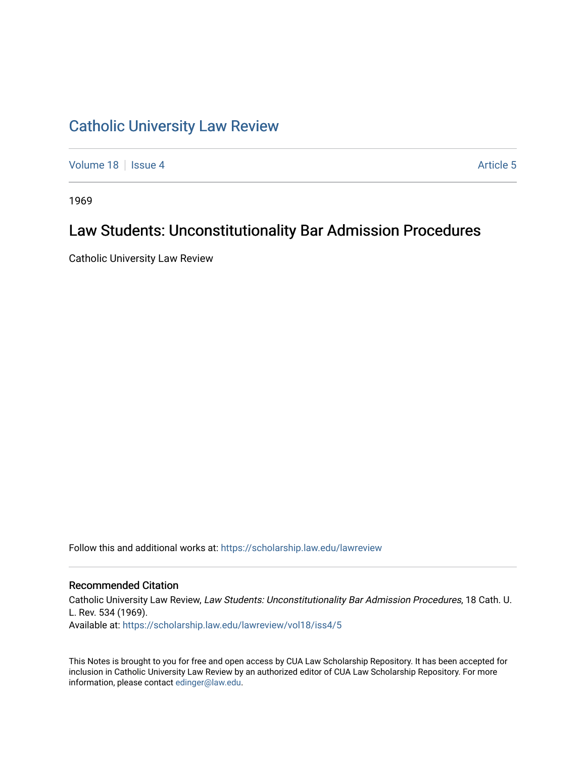# [Catholic University Law Review](https://scholarship.law.edu/lawreview)

[Volume 18](https://scholarship.law.edu/lawreview/vol18) | [Issue 4](https://scholarship.law.edu/lawreview/vol18/iss4) Article 5

1969

## Law Students: Unconstitutionality Bar Admission Procedures

Catholic University Law Review

Follow this and additional works at: [https://scholarship.law.edu/lawreview](https://scholarship.law.edu/lawreview?utm_source=scholarship.law.edu%2Flawreview%2Fvol18%2Fiss4%2F5&utm_medium=PDF&utm_campaign=PDFCoverPages)

### Recommended Citation

Catholic University Law Review, Law Students: Unconstitutionality Bar Admission Procedures, 18 Cath. U. L. Rev. 534 (1969). Available at: [https://scholarship.law.edu/lawreview/vol18/iss4/5](https://scholarship.law.edu/lawreview/vol18/iss4/5?utm_source=scholarship.law.edu%2Flawreview%2Fvol18%2Fiss4%2F5&utm_medium=PDF&utm_campaign=PDFCoverPages)

This Notes is brought to you for free and open access by CUA Law Scholarship Repository. It has been accepted for inclusion in Catholic University Law Review by an authorized editor of CUA Law Scholarship Repository. For more information, please contact [edinger@law.edu.](mailto:edinger@law.edu)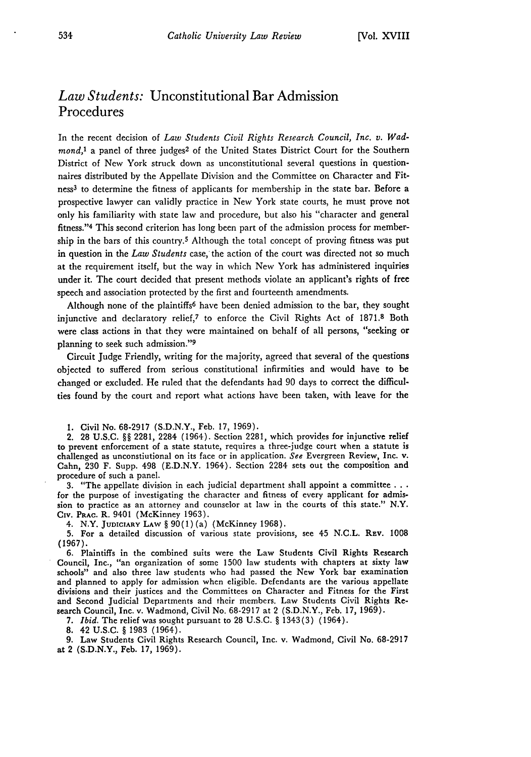## *Law Students:* Unconstitutional Bar Admission Procedures

In the recent decision of *Law Students Civil Rights Research Council, Inc. v. Wadmond,1* a panel of three judges2 of the United States District Court for the Southern District of New York struck down as unconstitutional several questions in questionnaires distributed by the Appellate Division and the Committee on Character and Fitness<sup>3</sup> to determine the fitness of applicants for membership in the state bar. Before a prospective lawyer can validly practice in New York state courts, he must prove not only his familiarity with state law and procedure, but also his "character and general fitness." 4 This second criterion has long been part of the admission process for membership in the bars of this country.5 Although the total concept of proving fitness was put in question in the *Law Students* case, the action of the court was directed not so much at the requirement itself, but the way in which New York has administered inquiries under it. The court decided that present methods violate an applicant's rights of free speech and association protected by the first and fourteenth amendments.

Although none of the plaintiffs6 have been denied admission to the bar, they sought injunctive and declaratory relief,7 to enforce the Civil Rights Act of 1871.8 Both were class actions in that they were maintained on behalf of all persons, "seeking or planning to seek such admission."<sup>9</sup>

Circuit Judge Friendly, writing for the majority, agreed that several of the questions objected to suffered from serious constitutional infirmities and would have to be changed or excluded. He ruled that the defendants had 90 days to correct the difficulties found by the court and report what actions have been taken, with leave for the

1. Civil No. 68-2917 (S.D.N.Y., Feb. 17, 1969).

2. 28 U.S.C. §§ 2281, 2284 (1964). Section 2281, which provides for injunctive relief to prevent enforcement of a state statute, requires a three-judge court when a statute is challenged as unconstiutional on its face or in application. *See* Evergreen Review, Inc. v. Cahn, 230 F. Supp. 498 (E.D.N.Y. 1964). Section 2284 sets out the composition and procedure of such a panel.

3. "The appellate division in each judicial department shall appoint a committee **...** for the purpose of investigating the character and fitness of every applicant for admission to practice as an attorney and counselor at law in the courts of this state." N.Y. **Civ. PRAC.** R. 9401 (McKinney 1963).

4. N.Y. JUDICIARY LAW § 90(1) (a) (McKinney 1968).

5. For a detailed discussion of various state provisions, see 45 N.C.L. REv. 1008 (1967).

6. Plaintiffs in the combined suits were the Law Students Civil Rights Research Council, Inc., "an organization of some 1500 law students with chapters at sixty law schools" and also three law students who had passed the New York bar examination and planned to apply for admission when eligible. Defendants are the various appellate divisions and their justices and the Committees on Character and Fitness for the First and Second Judicial Departments and their members. Law Students Civil Rights Research Council, Inc. v. Wadmond, Civil No. 68-2917 at 2 (S.D.N.Y., Feb. **17,** 1969).

*7. Ibid.* The relief was sought pursuant to 28 U.S.C. § 1343(3) (1964).

**8.** 42 U.S.C. § **1983** (1964).

9. Law Students Civil Rights Research Council, Inc. v. Wadmond, Civil No. 68-2917 at 2 (S.D.N.Y., Feb. 17, 1969).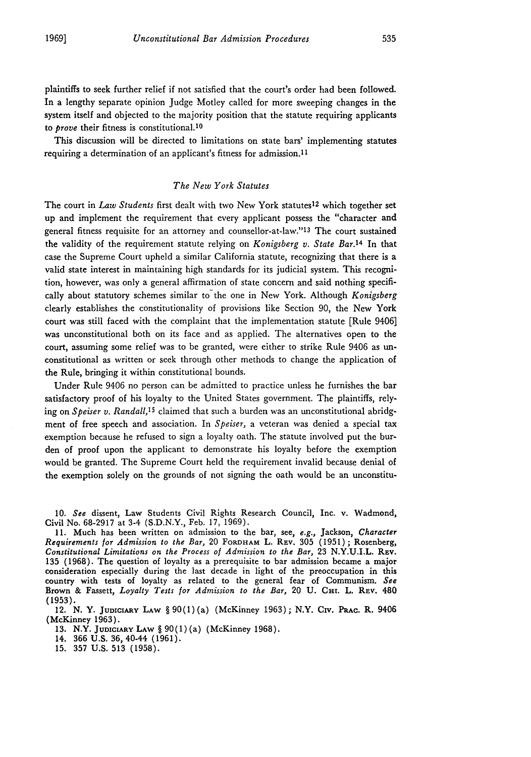plaintiffs to seek further relief if not satisfied that the court's order had been followed. In a lengthy separate opinion Judge Motley called for more sweeping changes in the system itself and objected to the majority position that the statute requiring applicants to *prove* their fitness is constitutional. <sup>10</sup>

This discussion will be directed to limitations on state bars' implementing statutes requiring a determination of an applicant's fitness for admission. <sup>11</sup>

#### *The New York Statutes*

The court in *Law Students* first dealt with two New York statutes12 which together set up and implement the requirement that every applicant possess the "character and general fitness requisite for an attorney and counsellor-at-law."<sup>13</sup> The court sustained the validity of the requirement statute relying on *Konigsberg v. State Bar.14* In that case the Supreme Court upheld a similar California statute, recognizing that there is a valid state interest in maintaining high standards for its judicial system. This recognition, however, was only a general affirmation of state concern and said nothing specifically about statutory schemes similar to the one in New York. Although *Konigsberg* clearly establishes the constitutionality of provisions like Section 90, the New York court was still faced with the complaint that the implementation statute [Rule 9406] was unconstitutional both on its face and as applied. The alternatives open to the court, assuming some relief was to be granted, were either to strike Rule 9406 as unconstitutional as written or seek through other methods to change the application of the Rule, bringing it within constitutional bounds.

Under Rule 9406 no person can be admitted to practice unless he furnishes the bar satisfactory proof of his loyalty to the United States government. The plaintiffs, relying on *Speiser v. Randall,15* claimed that such a burden was an unconstitutional abridgment of free speech and association. In *Speiser,* a veteran was denied a special tax exemption because he refused to sign a loyalty oath. The statute involved put the burden of proof upon the applicant to demonstrate his loyalty before the exemption would be granted. The Supreme Court held the requirement invalid because denial of the exemption solely on the grounds of not signing the oath would be an unconstitu-

10. *See* dissent, Law Students Civil Rights Research Council, Inc. v. Wadmond, Civil No. 68-2917 at 3-4 (S.D.N.Y., Feb. 17, 1969).

11. Much has been written on admission to the bar, see, e.g., Jackson, *Character Requirements for Admission to the Bar,* 20 FORDHAM L. REV. 305 (1951) ; Rosenberg, *Constitutional Limitations on the Process of Admission to the Bar,* 23 N.Y.U.I.L. **REV.** 135 (1968). The question of loyalty as a prerequisite to bar admission became a major consideration especially during the last decade in light of the preoccupation in this country with tests of loyalty as related to the general fear of Communism. *See* Brown & Fassett, *Loyalty Tests for Admission to the Bar,* 20 **U. Cm.** L. REv. 480 **(1953).**

12. N. Y. JUDICIARY LAW § 90(1)(a) (McKinney 1963); N.Y. Civ. Prac. R. 9406 (McKinney **1963).**

13. N.Y. **JUDICIARY LAW** § 90(1)(a) (McKinney 1968).

14. **366 U.S. 36,** 40-44 **(1961).**

15. 357 U.S. 513 (1958).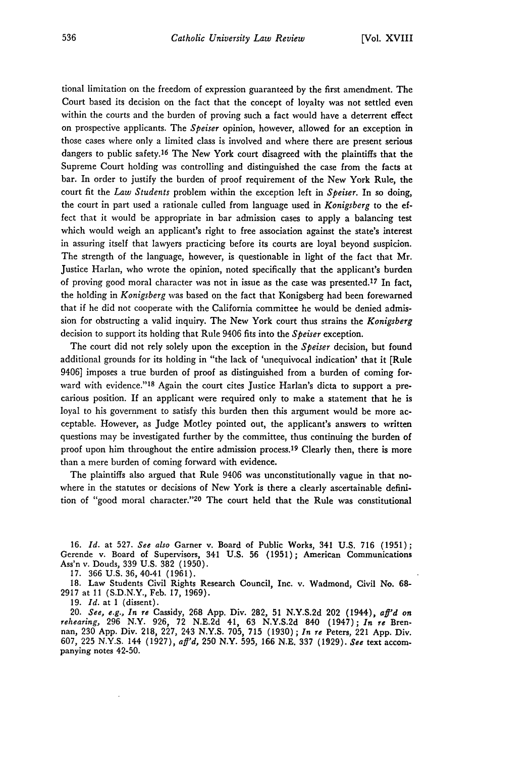tional limitation on the freedom of expression guaranteed by the first amendment. The Court based its decision on the fact that the concept of loyalty was not settled even within the courts and the burden of proving such a fact would have a deterrent effect on prospective applicants. The *Speiser* opinion, however, allowed for an exception in those cases where only a limited class is involved and where there are present serious dangers to public safety.<sup>16</sup> The New York court disagreed with the plaintiffs that the Supreme Court holding was controlling and distinguished the case from the facts at bar. In order to justify the burden of proof requirement of the New York Rule, the court fit the *Law Students* problem within the exception left in *Speiser.* In so doing, the court in part used a rationale culled from language used in *Konigsberg* to the effect that it would be appropriate in bar admission cases to apply a balancing test which would weigh an applicant's right to free association against the state's interest in assuring itself that lawyers practicing before its courts are loyal beyond suspicion. The strength of the language, however, is questionable in light of the fact that Mr. Justice Harlan, who wrote the opinion, noted specifically that the applicant's burden of proving good moral character was not in issue as the case was presented.<sup>17</sup> In fact, the holding in *Konigsberg* was based on the fact that Konigsberg had been forewarned that if he did not cooperate with the California committee he would be denied admission for obstructing a valid inquiry. The New York court thus strains the *Konigsberg* decision to support its holding that Rule 9406 fits into the *Speiser* exception.

The court did not rely solely upon the exception in the *Speiser* decision, but found additional grounds for its holding in "the lack of 'unequivocal indication' that it [Rule 9406] imposes a true burden of proof as distinguished from a burden of coming forward with evidence."<sup>18</sup> Again the court cites Justice Harlan's dicta to support a precarious position. If an applicant were required only to make a statement that he is loyal to his government to satisfy this burden then this argument would be more acceptable. However, as Judge Motley pointed out, the applicant's answers to written questions may be investigated further by the committee, thus continuing the burden of proof upon him throughout the entire admission process.<sup>19</sup> Clearly then, there is more than a mere burden of coming forward with evidence.

The plaintiffs also argued that Rule 9406 was unconstitutionally vague in that nowhere in the statutes or decisions of New York is there a clearly ascertainable definition of "good moral character. '20 The court held that the Rule was constitutional

16. *Id.* at 527. *See also* Garner v. Board of Public Works, 341 U.S. 716 (1951); Gerende v. Board of Supervisors, 341 **U.S.** 56 (1951); American Communications Ass'n v. Douds, 339 U.S. 382 (1950).

17. 366 U.S. 36, 40-41 (1961).

18. Law Students Civil Rights Research Council, Inc. v. Wadmond, Civil No. **68-** 2917 at 11 (S.D.N.Y., Feb. 17, 1969).

19. *Id.* at **I** (dissent).

20. *See, e.g., In re Cassidy, 268 App. Div. 282, 51 N.Y.S.2d 202 (1944), aff'd on* rehearing, 296 N.Y. 926, 72 N.E.2d 41, 63 N.Y.S.2d 840 (1947); *In re* Bren-<br>nan, 230 App. Div. 218, 227, 243 N.Y.S. 705, 715 (1930); *In re* Peters, 221 App. Div. 607, 225 **N.Y.S.** 144 (1927), *aft'd,* 250 N.Y. 595, 166 N.E. 337 (1929). *See* text accom- panying notes 42-50.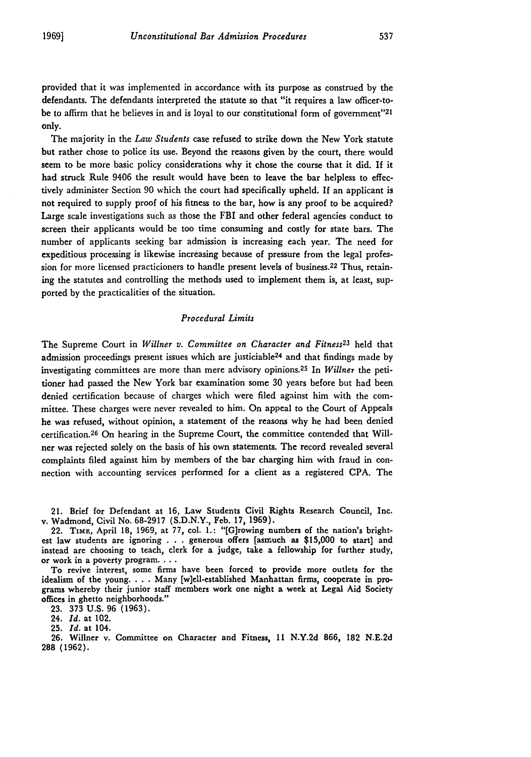provided that it was implemented in accordance with its purpose as construed by the defendants. The defendants interpreted the statute so that "it requires a law officer-tobe to affirm that he believes in and is loyal to our constitutional form of government"<sup>21</sup> only.

The majority in the *Law Students* case refused to strike down the New York statute but rather chose to police its use. Beyond the reasons given by the court, there would seem to be more basic policy considerations why it chose the course that it did. If it had struck Rule 9406 the result would have been to leave the bar helpless to effectively administer Section 90 which the court had specifically upheld. If an applicant is not required to supply proof of his fitness to the bar, how is any proof to be acquired? Large scale investigations such as those the FBI and other federal agencies conduct to screen their applicants would be too time consuming and costly for state bars. The number of applicants seeking bar admission is increasing each year. The need for expeditious processing is likewise increasing because of pressure from the legal profession for more licensed practicioners to handle present levels of business.22 Thus, retaining the statutes and controlling the methods used to implement them is, at least, supported by the practicalities of the situation.

#### *Procedural Limits*

The Supreme Court in *Willner v. Committee on Character and Fitness23* held that admission proceedings present issues which are justiciable<sup>24</sup> and that findings made by investigating committees are more than mere advisory opinions. 25 In *Willner* the petitioner had passed the New York bar examination some 30 years before but had been denied certification because of charges which were filed against him with the committee. These charges were never revealed to him. On appeal to the Court of Appeals he was refused, without opinion, a statement of the reasons why he had been denied certification. 26 On hearing in the Supreme Court, the committee contended that Willner was rejected solely on the basis of his own statements. The record revealed several complaints filed against him by members of the bar charging him with fraud in connection with accounting services performed for a client as a registered CPA. The

21. Brief for Defendant at 16, Law Students Civil Rights Research Council, Inc. v. Wadmond, Civil No. 68-2917 (S.D.N.Y., Feb. **17,** 1969).

22. TIME, April 18, 1969, at **77,** col. **1.:** "[G]rowing numbers of the nation's brightest law students are ignoring . . . generous offers [asmuch as **\$15,000** to start] and instead are choosing to teach, clerk for a judge, take a fellowship for further study, or work in a poverty program. **...**

To revive interest, some firms have been forced to provide more outlets for the idealism of the young. . . . Many [w]ell-established Manhattan firms, cooperate in programs whereby their junior staff members work one night a week at Legal Aid Society offices in ghetto neighborhoods."

23. 373 U.S. 96 (1963).

24. *Id.* at 102.

25. *Id.* at 104.

**26.** Willner v. Committee on Character and Fitness, **11 N.Y.2d 866, 182 N.E.2d 288 (1962).**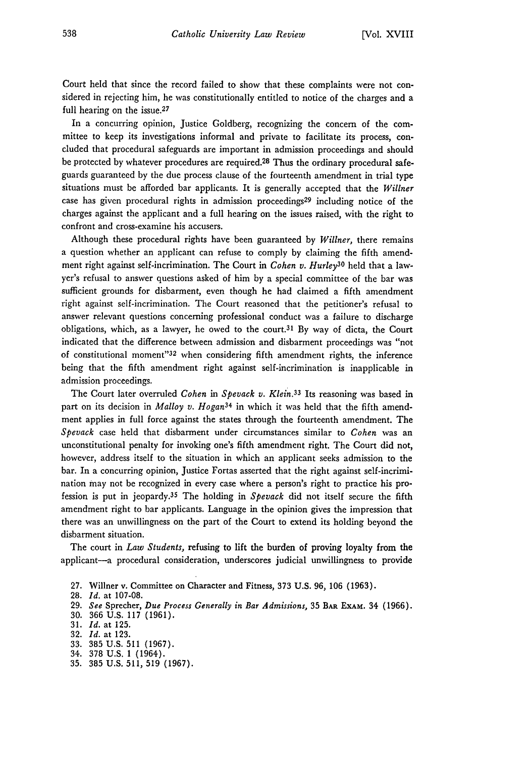Court held that since the record failed to show that these complaints were not considered in rejecting him, he was constitutionally entitled to notice of the charges and a full hearing on the issue.<sup>27</sup>

In a concurring opinion, Justice Goldberg, recognizing the concern of the committee to keep its investigations informal and private to facilitate its process, concluded that procedural safeguards are important in admission proceedings and should be protected by whatever procedures are required.<sup>28</sup> Thus the ordinary procedural safeguards guaranteed by the due process clause of the fourteenth amendment in trial type situations must be afforded bar applicants. It is generally accepted that the *Willner* case has given procedural rights in admission proceedings<sup>29</sup> including notice of the charges against the applicant and a full hearing on the issues raised, with the right to confront and cross-examine his accusers.

Although these procedural rights have been guaranteed by *Willner,* there remains a question whether an applicant can refuse to comply by claiming the fifth amendment right against self-incrimination. The Court in *Cohen v. Hurley3 o* held that a lawyer's refusal to answer questions asked of him by a special committee of the bar was sufficient grounds for disbarment, even though he had claimed a fifth amendment right against self-incrimination. The Court reasoned that the petitioner's refusal to answer relevant questions concerning professional conduct was a failure to discharge obligations, which, as a lawyer, he owed to the court.<sup>31</sup> By way of dicta, the Court indicated that the difference between admission and disbarment proceedings was "not of constitutional moment"32 when considering fifth amendment rights, the inference being that the fifth amendment right against self-incrimination is inapplicable in admission proceedings.

The Court later overruled *Cohen in Spevack v. Klein.33* Its reasoning was based in part on its decision in *Malloy v. Hogan34* in which it was held that the fifth amendment applies in full force against the states through the fourteenth amendment. The *Spevack* case held that disbarment under circumstances similar to *Cohen* was an unconstitutional penalty for invoking one's fifth amendment right. The Court did not, however, address itself to the situation in which an applicant seeks admission to the bar. In a concurring opinion, Justice Fortas asserted that the right against self-incrimination may not be recognized in every case where a person's right to practice his profession is put in jeopardy. <sup>3</sup> 5 The holding in *Spevack* did not itself secure the fifth amendment right to bar applicants. Language in the opinion gives the impression that there was an unwillingness on the part of the Court to extend its holding beyond the disbarment situation.

The court in *Law Students,* refusing to lift the burden of proving loyalty from the applicant-a procedural consideration, underscores judicial unwillingness to provide

- **27.** Willner v. Committee on Character and Fitness, **373 U.S. 96, 106 (1963).**
- **28.** *Id.* at **107-08.**
- **29.** *See* Sprecher, *Due Process Generally in Bar Admissions,* 35 **BAR EXAM.** 34 (1966).
- 30. 366 U.S. 117 (1961).
- 31. *Id.* at 125.
- 32. *Id.* at 123.
- 33. 385 U.S. 511 (1967).
- 34. 378 U.S. 1 (1964).
- 35. 385 U.S. 511, 519 (1967).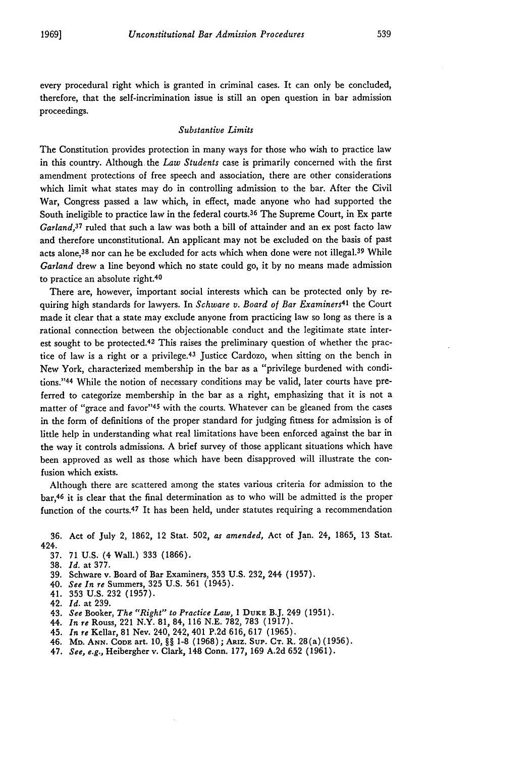every procedural right which is granted in criminal cases. It can only be concluded, therefore, that the self-incrimination issue is still an open question in bar admission proceedings.

#### *Substantive Limits*

The Constitution provides protection in many ways for those who wish to practice law in this country. Although the *Law Students* case is primarily concerned with the first amendment protections of free speech and association, there are other considerations which limit what states may do in controlling admission to the bar. After the Civil War, Congress passed a law which, in effect, made anyone who had supported the South ineligible to practice law in the federal courts.<sup>36</sup> The Supreme Court, in Ex parte *Garland,3 <sup>7</sup>*ruled that such a law was both a bill of attainder and an ex post facto law and therefore unconstitutional. An applicant may not be excluded on the basis of past acts alone,38 nor can he **be** excluded for acts which when done were not illegal.3 9 While *Garland* drew a line beyond which no state could go, it **by** no means made admission to practice an absolute right.<sup>40</sup>

There are, however, important social interests which can be protected only **by** requiring high standards for lawyers. In *Schware v. Board of Bar Examiners4 <sup>1</sup>*the Court made it clear that a state may exclude anyone from practicing law so long as there is a rational connection between the objectionable conduct and the legitimate state interest sought to be protected. 42 This raises the preliminary question of whether the practice of law is a right or a privilege. 43 Justice Cardozo, when sitting on the bench in New York, characterized membership in the bar as a "privilege burdened with conditions." 44 While the notion of necessary conditions may **be** valid, later courts have preferred to categorize membership in the bar as a right, emphasizing that it is not a matter of "grace and favor"<sup>45</sup> with the courts. Whatever can be gleaned from the cases in the form of definitions of the proper standard for judging fitness for admission is of little **help** in understanding what real limitations have been enforced against the bar in the way it controls admissions. **A** brief survey of those applicant situations which have been approved as well as those which have been disapproved will illustrate the confusion which exists.

Although there are scattered among the states various criteria for admission to the bar,46 it is clear that the final determination as to who will **be** admitted is the proper function of the courts. 47 It has been held, under statutes requiring a recommendation

**36.** Act of July 2, **1862,** 12 Stat. **502,** *as amended,* Act of Jan. 24, **1865, 13** Stat. 424.

- **37. 71 U.S.** (4 Wall.) **333 (1866).**
- **38.** *Id.* at **377.**
- **39.** Schware v. Board of Bar Examiners, **353 U.S. 232,** 244 **(1957).**
- 40. *See In re* Summers, **325 U.S. 561** (1945).
- 41. **353 U.S. 232 (1957).**
- 42. *Id.* at **239.**
- 43. *See* Booker, *The "Right" to Practice Law,* **1 DUKE** B.J. 249 **(1951).**
- 44. *In re* Rouss, 221 N.Y. **81,** 84, **116 N.E. 782, 783 (1917).**
- 45. *In re* Kellar, **81** Nev. 240, 242, 401 **P.2d 616, 617 (1965).**
- 46. **MD. ANN. CODE** art. **10, §§ 1-8 (1968); ARIZ. SuP. CT.** R. 28(a) **(1956).**
- 47. *See, e.g.,* Heibergher v. Clark, 148 Conn. **177, 169 A.2d 652 (1961).**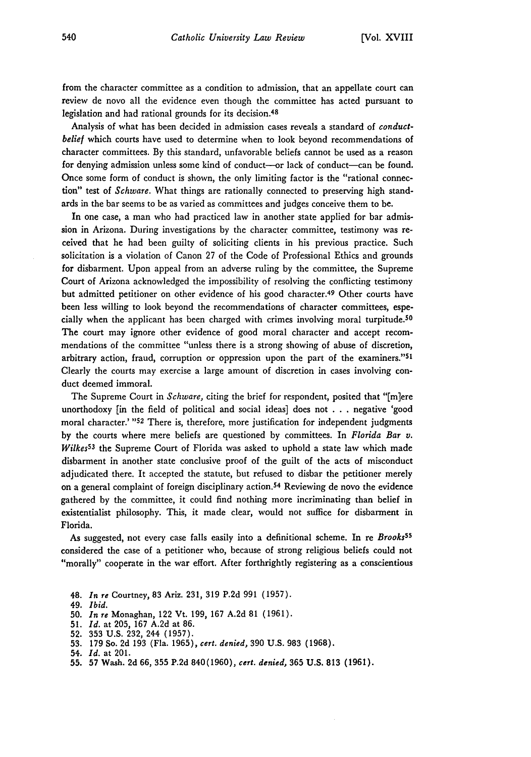from the character committee as a condition to admission, that an appellate court can review de novo all the evidence even though the committee has acted pursuant to legislation and had rational grounds for its decision.<sup>48</sup>

Analysis of what has been decided in admission cases reveals a standard of *conductbelief* which courts have used to determine when to look beyond recommendations of character committees. By this standard, unfavorable beliefs cannot be used as a reason for denying admission unless some kind of conduct-or lack of conduct-can be found. Once some form of conduct is shown, the only limiting factor is the "rational connection" test of *Schware.* What things are rationally connected to preserving high standards in the bar seems to be as varied as committees and judges conceive them to be.

In one case, a man who had practiced law in another state applied for bar admission in Arizona. During investigations by the character committee, testimony was received that he had been guilty of soliciting clients in his previous practice. Such solicitation is a violation of Canon 27 of the Code of Professional Ethics and grounds for disbarment. Upon appeal from an adverse ruling by the committee, the Supreme Court of Arizona acknowledged the impossibility of resolving the conflicting testimony but admitted petitioner on other evidence of his good character. 49 Other courts have been less willing to look beyond the recommendations of character committees, especially when the applicant has been charged with crimes involving moral turpitude.<sup>50</sup> The court may ignore other evidence of good moral character and accept recommendations of the committee "unless there is a strong showing of abuse of discretion, arbitrary action, fraud, corruption or oppression upon the part of the examiners." $5<sup>1</sup>$ Clearly the courts may exercise a large amount of discretion in cases involving conduct deemed immoral.

The Supreme Court in *Schware,* citing the brief for respondent, posited that "[m]ere unorthodoxy [in the field of political and social ideas] does not . . . negative 'good moral character.' **"52** There is, therefore, more justification for independent judgments by the courts where mere beliefs are questioned by committees. In *Florida Bar v. Wilkes53* the Supreme Court of Florida was asked to uphold a state law which made disbarment in another state conclusive proof of the guilt of the acts of misconduct adjudicated there. It accepted the statute, but refused to disbar the petitioner merely on a general complaint of foreign disciplinary action.<sup>54</sup> Reviewing de novo the evidence gathered by the committee, it could find nothing more incriminating than belief in existentialist philosophy. This, it made clear, would not suffice for disbarment in Florida.

As suggested, not every case falls easily into a definitional scheme. In re *Brooks5s* considered the case of a petitioner who, because of strong religious beliefs could not "morally" cooperate in the war effort. After forthrightly registering as a conscientious

- 48. *In re* Courtney, 83 Ariz. 231, **319** P.2d **991** (1957).
- 49. *Ibid.*
- 50. *In re* Monaghan, 122 Vt. 199, **167** A.2d **81** (1961).
- 51. *Id.* at 205, **167** A.2d at 86.
- 52. 353 **U.S.** 232, 244 (1957).
- 53. 179 So. 2d 193 (Fla. 1965), *cert. denied,* 390 U.S. 983 (1968).
- 54. *Id.* at 201.
- 55. 57 Wash. 2d 66, 355 P.2d 840(1960), *cert. denied,* 365 U.S. 813 (1961).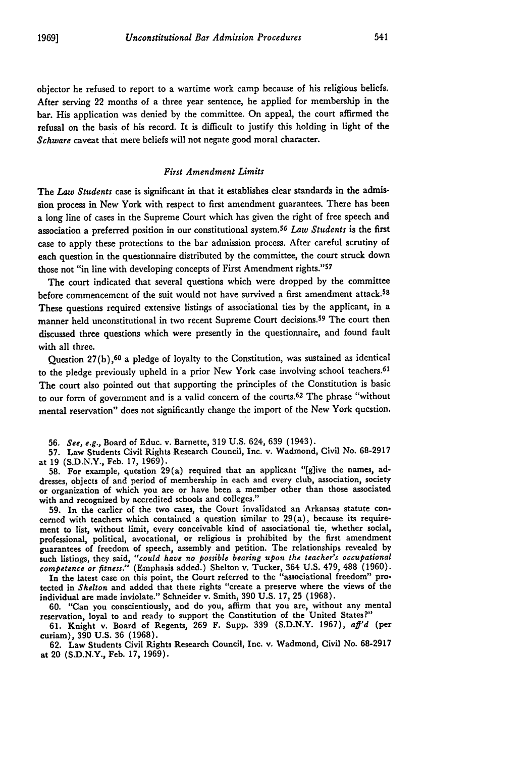objector he refused to report to a wartime work camp because of his religious beliefs. After serving 22 months of a three year sentence, he applied for membership in the bar. His application was denied by the committee. On appeal, the court affirmed the refusal on the basis of his record. It is difficult to justify this holding in light of the *Schware* caveat that mere beliefs will not negate good moral character.

#### *First Amendment Limits*

The *Law Students* case is significant in that it establishes clear standards in the admission process in New York with respect to first amendment guarantees. There has been a long line of cases in the Supreme Court which has given the right of free speech and association a preferred position in our constitutional system.5<sup>6</sup>*Law Students* is the first case to apply these protections to the bar admission process. After careful scrutiny of each question in the questionnaire distributed by the committee, the court struck down those not "in line with developing concepts of First Amendment rights."57

The court indicated that several questions which were dropped by the committee before commencement of the suit would not have survived a first amendment attack.<sup>58</sup> These questions required extensive listings of associational ties by the applicant, in a manner held unconstitutional in two recent Supreme Court decisions. 59 The court then discussed three questions which were presently in the questionnaire, and found fault with all three.

Question  $27(b)$ ,<sup>60</sup> a pledge of loyalty to the Constitution, was sustained as identical to the pledge previously upheld in a prior New York case involving school teachers. <sup>61</sup> The court also pointed out that supporting the principles of the Constitution is basic to our form of government and is a valid concern of the courts.<sup>62</sup> The phrase "without mental reservation" does not significantly change the import of the New York question.

56. *See, e.g.,* Board of Educ. v. Barnette, 319 U.S. 624, 639 (1943).

57. Law Students Civil Rights Research Council, Inc. v. Wadmond, Civil No. 68-2917 at 19 (S.D.N.Y., Feb. 17, 1969).

**58.** For example, question 29(a) required that an applicant "[glive the names, addresses, objects of and period of membership in each and every club, association, society or organization of which you are or have been a member other than those associated with and recognized **by** accredited schools and colleges."

**59.** In the earlier of the two cases, the Court invalidated an Arkansas statute concerned with teachers which contained a question similar to 29(a), because its requirement to list, without limit, every conceivable kind of associational tie, whether social, professional, political, avocational, or religious is prohibited **by** the first amendment guarantees of freedom of speech, assembly and petition. The relationships revealed **by** such listings, they said, *"could have no possible bearing upon the teacher's occupational competence or fitness."* (Emphasis added.) Shelton v. Tucker, 364 U.S. 479, 488 (1960).

In the latest case on this point, the Court referred to the "associational freedom" protected in *Shelton* and added that these rights "create a preserve where the views of the individual are made inviolate." Schneider v. Smith, **390 U.S. 17, 25 (1968).**

**60.** "Can you conscientiously, and do you, affirm that you are, without any mental reservation, loyal to and ready to support the Constitution of the United States?"

**61.** Knight v. Board of Regents, **269** F. Supp. **339 (S.D.N.Y. 1967),** *af'd* (per curiam), **390 U.S. 36 (1968).**

**62.** Law Students Civil Rights Research Council, Inc. v. Wadmond, Civil No. **68-2917** at 20 **(S.D.N.Y.,** Feb. **17, 1969).**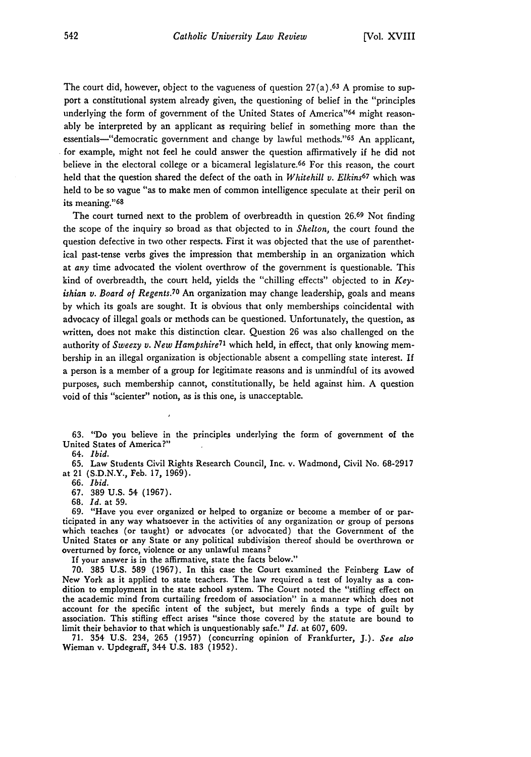The court did, however, object to the vagueness of question  $27(a)$ . <sup>63</sup> A promise to support a constitutional system already given, the questioning of belief in the "principles underlying the form of government of the United States of America"<sup>64</sup> might reasonably be interpreted by an applicant as requiring belief in something more than the essentials—"democratic government and change by lawful methods."<sup>65</sup> An applicant, for example, might not feel he could answer the question affirmatively if he did not believe in the electoral college or a bicameral legislature.<sup>66</sup> For this reason, the court held that the question shared the defect of the oath in *Whitehill v. Elkins6 7* which was held to be so vague "as to make men of common intelligence speculate at their peril on its meaning."68

The court turned next to the problem of overbreadth in question 26.69 Not finding the scope of the inquiry so broad as that objected to in *Shelton,* the court found the question defective in two other respects. First it was objected that the use of parenthetical past-tense verbs gives the impression that membership in an organization which at *any* time advocated the violent overthrow of the government is questionable. This kind of overbreadth, the court held, yields the "chilling effects" objected to in *Keyishian v. Board of Regents.*<sup>70</sup> An organization may change leadership, goals and means by which its goals are sought. It is obvious that only memberships coincidental with advocacy of illegal goals or methods can be questioned. Unfortunately, the question, as written, does not make this distinction clear. Question 26 was also challenged on the authority of *Sweezy v. New Hampshire*<sup>71</sup> which held, in effect, that only knowing membership in an illegal organization is objectionable absent a compelling state interest. If a person is a member of a group for legitimate reasons and is unmindful of its avowed purposes, such membership cannot, constitutionally, be held against him. A question void of this "scienter" notion, as is this one, is unacceptable.

63. "Do you believe in the principles underlying the form of government of the United States of America?"

64. *Ibid.*

65. Law Students Civil Rights Research Council, Inc. v. Wadmond, Civil No. 68-2917 at 21 (S.D.N.Y., Feb. 17, 1969).

66. *Ibid.*

67. 389 U.S. 54 (1967).

68. *Id.* at 59.

69. "Have you ever organized or helped to organize or become a member of or participated in any way whatsoever in the activities of any organization or group of persons which teaches (or taught) or advocates (or advocated) that the Government of the United States or any State or any political subdivision thereof should be overthrown or overturned by force, violence or any unlawful means?

If your answer is in the affirmative, state the facts below."

70. 385 U.S. 589 (1967). In this case the Court examined the Feinberg Law of New York as it applied to state teachers. The law required a test of loyalty as a condition to employment in the state school system. The Court noted the "stifling effect on the academic mind from curtailing freedom of association" in a manner which does not account for the specific intent of the subject, but merely finds a type of guilt by association. This stifling effect arises "since those covered **by** the statute are bound to limit their behavior to that which is unquestionably safe." *Id.* at **607, 609.**

**71.** 354 **U.S.** 234, **265 (1957)** (concurring opinion of Frankfurter, **J.).** *See also* **Wieman v. Updegraff, 344 U.S. 183 (1952).**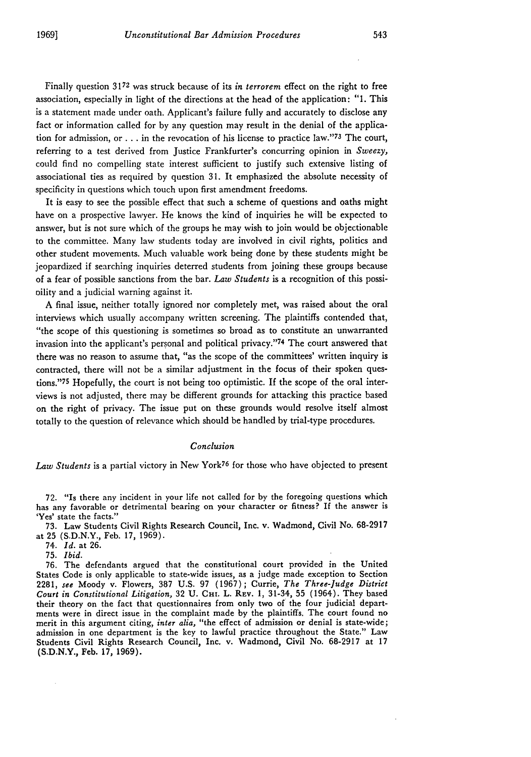Finally question 3172 was struck because of its *in terrorem* effect on the right to free association, especially in light of the directions at the head of the application: "1. This is a statement made under oath. Applicant's failure fully and accurately to disclose any fact or information called for by any question may result in the denial of the application for admission, or . . . in the revocation of his license to practice law."<sup>73</sup> The court, referring to a test derived from Justice Frankfurter's concurring opinion in *Sweezy,* could find no compelling state interest sufficient to justify such extensive listing of associational ties as required by question 31. It emphasized the absolute necessity of specificity in questions which touch upon first amendment freedoms.

It is easy to see the possible effect that such a scheme of questions and oaths might have on a prospective lawyer. He knows the kind of inquiries he will be expected to answer, but is not sure which of the groups he may wish to join would be objectionable to the committee. Many law students today are involved in civil rights, politics and other student movements. Much valuable work being done by these students might be jeopardized if searching inquiries deterred students from joining these groups because of a fear of possible sanctions from the bar. *Law Students* is a recognition of this possioility and a judicial warning against it.

A final issue, neither totally ignored nor completely met, was raised about the oral interviews which usually accompany written screening. The plaintiffs contended that, "the scope of this questioning is sometimes so broad as to constitute an unwarranted invasion into the applicant's personal and political privacy."74 The court answered that there was no reason to assume that, "as the scope of the committees' written inquiry is contracted, there will not be a similar adjustment in the focus of their spoken questions."75 Hopefully, the court is not being too optimistic. If the scope of the oral interviews is not adjusted, there may be different grounds for attacking this practice based on the right of privacy. The issue put on these grounds would resolve itself almost totally to the question of relevance which should be handled by trial-type procedures.

#### *Conclusion*

*Law Students* is a partial victory in New York76 for those who have objected to present

72. "Is there any incident in your life not called for by the foregoing questions which has any favorable or detrimental bearing on your character or fitness? If the answer is 'Yes' state the facts."

73. Law Students Civil Rights Research Council, Inc. v. Wadmond, Civil No. 68-2917 at 25 (S.D.N.Y., Feb. 17, 1969).

74. *Id.* at 26.

75. *Ibid.*

76. The defendants argued that the constitutional court provided in the United States Code is only applicable to state-wide issues, as a judge made exception to Section 2281, *see* Moody v. Flowers, 387 U.S. 97 (1967); Currie, *The Three-Judge District* Court in Constitutional Litigation, 32 U. CHI. L. REV. 1, 31-34, 55 (1964). They based their theory on the fact that questionnaires from only two of the four judicial departments were in direct issue in the complaint made by the plaintiffs. The court found no merit in this argument citing, *inter alia,* "the effect of admission or denial is state-wide; admission in one department is the key to lawful practice throughout the State." Law Students Civil Rights Research Council, Inc. v. Wadmond, Civil No. 68-2917 at 17 (S.D.N.Y., Feb. 17, 1969).